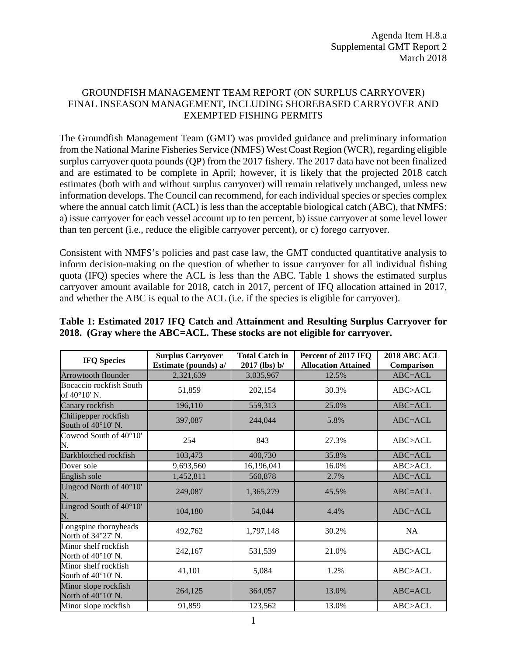## GROUNDFISH MANAGEMENT TEAM REPORT (ON SURPLUS CARRYOVER) FINAL INSEASON MANAGEMENT, INCLUDING SHOREBASED CARRYOVER AND EXEMPTED FISHING PERMITS

The Groundfish Management Team (GMT) was provided guidance and preliminary information from the National Marine Fisheries Service (NMFS) West Coast Region (WCR), regarding eligible surplus carryover quota pounds (QP) from the 2017 fishery. The 2017 data have not been finalized and are estimated to be complete in April; however, it is likely that the projected 2018 catch estimates (both with and without surplus carryover) will remain relatively unchanged, unless new information develops. The Council can recommend, for each individual species or species complex where the annual catch limit (ACL) is less than the acceptable biological catch (ABC), that NMFS: a) issue carryover for each vessel account up to ten percent, b) issue carryover at some level lower than ten percent (i.e., reduce the eligible carryover percent), or c) forego carryover.

Consistent with NMFS's policies and past case law, the GMT conducted quantitative analysis to inform decision-making on the question of whether to issue carryover for all individual fishing quota (IFQ) species where the ACL is less than the ABC. Table 1 shows the estimated surplus carryover amount available for 2018, catch in 2017, percent of IFQ allocation attained in 2017, and whether the ABC is equal to the ACL (i.e. if the species is eligible for carryover).

| <b>IFQ Species</b>                                  | <b>Surplus Carryover</b><br>Estimate (pounds) a/ | <b>Total Catch in</b><br>$2017$ (lbs) b/ | Percent of 2017 IFQ<br><b>Allocation Attained</b> | <b>2018 ABC ACL</b><br>Comparison |
|-----------------------------------------------------|--------------------------------------------------|------------------------------------------|---------------------------------------------------|-----------------------------------|
| Arrowtooth flounder                                 | 2,321,639                                        | 3,035,967                                | 12.5%                                             | ABC=ACL                           |
| Bocaccio rockfish South<br>of 40°10' N.             | 51,859                                           | 202,154                                  | 30.3%                                             | ABC > ACL                         |
| Canary rockfish                                     | 196,110                                          | 559,313                                  | 25.0%                                             | ABC=ACL                           |
| Chilipepper rockfish<br>South of 40°10' N.          | 397,087                                          | 244,044                                  | 5.8%                                              | $ABC = ACL$                       |
| Cowcod South of 40°10'<br>N.                        | 254                                              | 843                                      | 27.3%                                             | ABC > ACL                         |
| Darkblotched rockfish                               | 103,473                                          | 400,730                                  | 35.8%                                             | ABC=ACL                           |
| Dover sole                                          | 9,693,560                                        | 16,196,041                               | 16.0%                                             | ABC>ACL                           |
| English sole                                        | 1,452,811                                        | 560,878                                  | 2.7%                                              | ABC=ACL                           |
| Lingcod North of $40^{\circ}10'$<br>N.              | 249,087                                          | 1,365,279                                | 45.5%                                             | ABC=ACL                           |
| Lingcod South of 40°10'<br>N.                       | 104,180                                          | 54,044                                   | 4.4%                                              | $ABC = ACL$                       |
| Longspine thornyheads<br>North of 34°27' N.         | 492,762                                          | 1,797,148                                | 30.2%                                             | NA                                |
| Minor shelf rockfish<br>North of $40^{\circ}10'$ N. | 242,167                                          | 531,539                                  | 21.0%                                             | ABC > ACL                         |
| Minor shelf rockfish<br>South of 40°10' N.          | 41,101                                           | 5,084                                    | 1.2%                                              | ABC > ACL                         |
| Minor slope rockfish<br>North of $40^{\circ}10'$ N. | 264,125                                          | 364,057                                  | 13.0%                                             | $ABC = ACL$                       |
| Minor slope rockfish                                | 91,859                                           | 123,562                                  | 13.0%                                             | ABC>ACL                           |

## **Table 1: Estimated 2017 IFQ Catch and Attainment and Resulting Surplus Carryover for 2018. (Gray where the ABC=ACL. These stocks are not eligible for carryover.**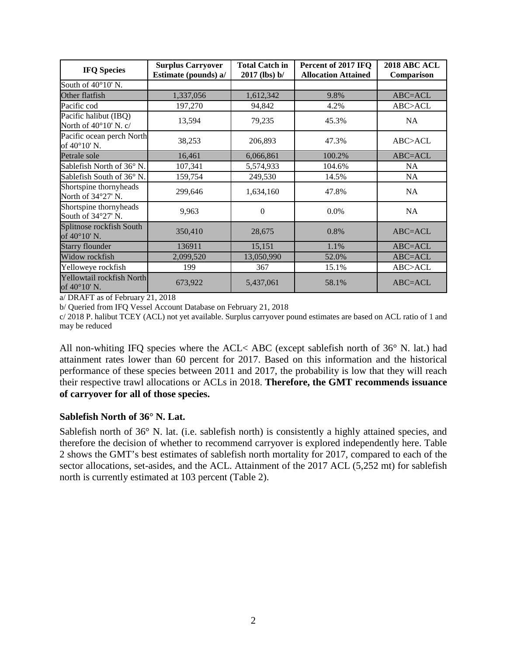| <b>IFQ Species</b>                                      | <b>Surplus Carryover</b><br>Estimate (pounds) a/ | <b>Total Catch in</b><br>$2017$ (lbs) b/ | Percent of 2017 IFQ<br><b>Allocation Attained</b> | <b>2018 ABC ACL</b><br>Comparison |
|---------------------------------------------------------|--------------------------------------------------|------------------------------------------|---------------------------------------------------|-----------------------------------|
| South of $40^{\circ}10'$ N.                             |                                                  |                                          |                                                   |                                   |
| Other flatfish                                          | 1,337,056                                        | 1,612,342                                | 9.8%                                              | ABC=ACL                           |
| Pacific cod                                             | 197,270                                          | 94,842                                   | 4.2%                                              | ABC>ACL                           |
| Pacific halibut (IBQ)<br>North of $40^{\circ}10'$ N. c/ | 13,594                                           | 79,235                                   | 45.3%                                             | <b>NA</b>                         |
| Pacific ocean perch North<br>of $40^{\circ}10'$ N.      | 38,253                                           | 206,893                                  | 47.3%                                             | ABC>ACL                           |
| Petrale sole                                            | 16,461                                           | 6,066,861                                | 100.2%                                            | ABC=ACL                           |
| Sablefish North of 36° N.                               | 107,341                                          | 5,574,933                                | 104.6%                                            | <b>NA</b>                         |
| Sablefish South of 36° N.                               | 159,754                                          | 249,530                                  | 14.5%                                             | NA                                |
| Shortspine thornyheads<br>North of 34°27' N.            | 299,646                                          | 1,634,160                                | 47.8%                                             | <b>NA</b>                         |
| Shortspine thornyheads<br>South of 34°27' N.            | 9,963                                            | $\Omega$                                 | 0.0%                                              | <b>NA</b>                         |
| Splitnose rockfish South<br>of $40^{\circ}10'$ N.       | 350,410                                          | 28,675                                   | 0.8%                                              | $ABC = ACL$                       |
| <b>Starry flounder</b>                                  | 136911                                           | 15,151                                   | 1.1%                                              | $ABC = ACL$                       |
| Widow rockfish                                          | 2,099,520                                        | 13,050,990                               | 52.0%                                             | ABC=ACL                           |
| Yelloweye rockfish                                      | 199                                              | 367                                      | 15.1%                                             | ABC>ACL                           |
| Yellowtail rockfish North<br>of $40^{\circ}10'$ N.      | 673,922                                          | 5,437,061                                | 58.1%                                             | $ABC = ACL$                       |

a/ DRAFT as of February 21, 2018

b/ Queried from IFQ Vessel Account Database on February 21, 2018

c/ 2018 P. halibut TCEY (ACL) not yet available. Surplus carryover pound estimates are based on ACL ratio of 1 and may be reduced

All non-whiting IFQ species where the ACL< ABC (except sablefish north of 36° N. lat.) had attainment rates lower than 60 percent for 2017. Based on this information and the historical performance of these species between 2011 and 2017, the probability is low that they will reach their respective trawl allocations or ACLs in 2018. **Therefore, the GMT recommends issuance of carryover for all of those species.**

## **Sablefish North of 36° N. Lat.**

Sablefish north of 36° N. lat. (i.e. sablefish north) is consistently a highly attained species, and therefore the decision of whether to recommend carryover is explored independently here. Table 2 shows the GMT's best estimates of sablefish north mortality for 2017, compared to each of the sector allocations, set-asides, and the ACL. Attainment of the 2017 ACL (5,252 mt) for sablefish north is currently estimated at 103 percent (Table 2).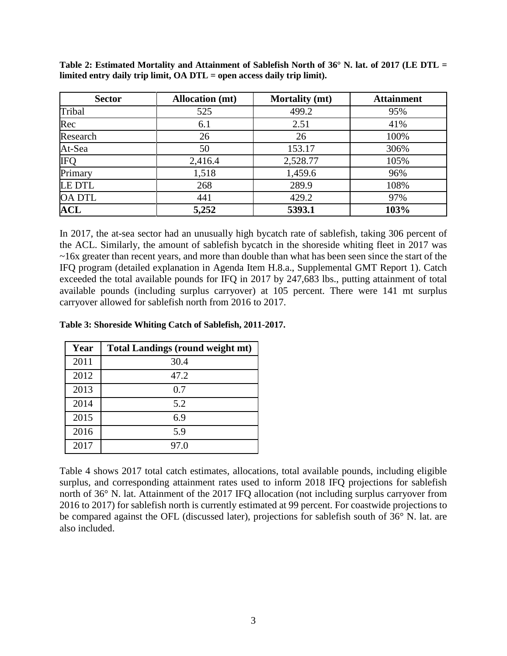| <b>Sector</b> | <b>Allocation</b> (mt) | <b>Mortality</b> (mt) | <b>Attainment</b> |
|---------------|------------------------|-----------------------|-------------------|
| Tribal        | 525                    | 499.2                 | 95%               |
| Rec           | 6.1                    | 2.51                  | 41%               |
| Research      | 26                     | 26                    | 100%              |
| At-Sea        | 50                     | 153.17                | 306%              |
| <b>IFQ</b>    | 2,416.4                | 2,528.77              | 105%              |
| Primary       | 1,518                  | 1,459.6               | 96%               |
| <b>LE DTL</b> | 268                    | 289.9                 | 108%              |
| <b>OA DTL</b> | 441                    | 429.2                 | 97%               |
| <b>ACL</b>    | 5,252                  | 5393.1                | 103%              |

**Table 2: Estimated Mortality and Attainment of Sablefish North of 36° N. lat. of 2017 (LE DTL = limited entry daily trip limit, OA DTL = open access daily trip limit).**

In 2017, the at-sea sector had an unusually high bycatch rate of sablefish, taking 306 percent of the ACL. Similarly, the amount of sablefish bycatch in the shoreside whiting fleet in 2017 was ~16x greater than recent years, and more than double than what has been seen since the start of the IFQ program (detailed explanation in Agenda Item H.8.a., Supplemental GMT Report 1). Catch exceeded the total available pounds for IFQ in 2017 by 247,683 lbs., putting attainment of total available pounds (including surplus carryover) at 105 percent. There were 141 mt surplus carryover allowed for sablefish north from 2016 to 2017.

## **Table 3: Shoreside Whiting Catch of Sablefish, 2011-2017.**

| Year | <b>Total Landings (round weight mt)</b> |
|------|-----------------------------------------|
| 2011 | 30.4                                    |
| 2012 | 47.2                                    |
| 2013 | 0.7                                     |
| 2014 | 5.2                                     |
| 2015 | 6.9                                     |
| 2016 | 5.9                                     |
| 2017 | 97.0                                    |

Table 4 shows 2017 total catch estimates, allocations, total available pounds, including eligible surplus, and corresponding attainment rates used to inform 2018 IFQ projections for sablefish north of 36° N. lat. Attainment of the 2017 IFQ allocation (not including surplus carryover from 2016 to 2017) for sablefish north is currently estimated at 99 percent. For coastwide projections to be compared against the OFL (discussed later), projections for sablefish south of 36° N. lat. are also included.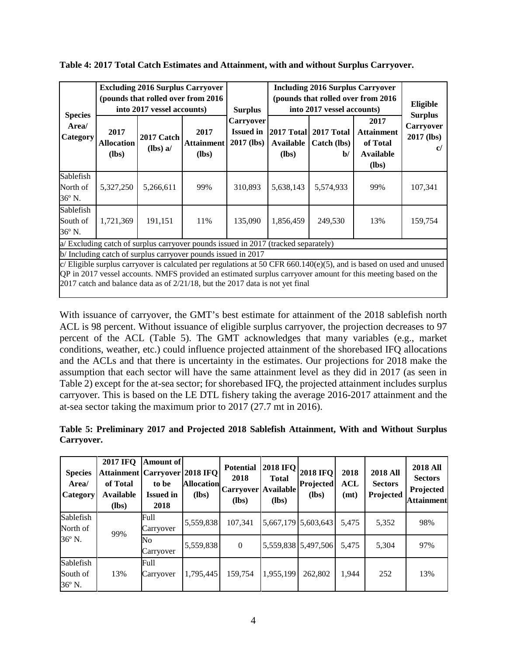|                                                                                                                                                                                                                                                                                                                           |                                      | <b>Excluding 2016 Surplus Carryover</b><br>(pounds that rolled over from 2016)<br>into 2017 vessel accounts) |                                      | <b>Surplus</b>                              | <b>Including 2016 Surplus Carryover</b><br>(pounds that rolled over from 2016)<br>into 2017 vessel accounts) |                                           |                                                                      | Eligible                                  |
|---------------------------------------------------------------------------------------------------------------------------------------------------------------------------------------------------------------------------------------------------------------------------------------------------------------------------|--------------------------------------|--------------------------------------------------------------------------------------------------------------|--------------------------------------|---------------------------------------------|--------------------------------------------------------------------------------------------------------------|-------------------------------------------|----------------------------------------------------------------------|-------------------------------------------|
| <b>Species</b><br>Area/<br>Category                                                                                                                                                                                                                                                                                       | 2017<br><b>Allocation</b><br>$(lbs)$ | 2017 Catch<br>$(lbs)$ a/                                                                                     | 2017<br><b>Attainment</b><br>$(lbs)$ | Carryover<br><b>Issued in</b><br>2017 (lbs) | 2017 Total<br>Available<br>$(lbs)$                                                                           | 2017 Total<br>Catch (lbs)<br>$\mathbf{b}$ | 2017<br><b>Attainment</b><br>of Total<br><b>Available</b><br>$(lbs)$ | <b>Surplus</b><br>Carryover<br>2017 (lbs) |
| Sablefish<br>North of<br>36° N.                                                                                                                                                                                                                                                                                           | 5,327,250                            | 5,266,611                                                                                                    | 99%                                  | 310,893                                     | 5,638,143                                                                                                    | 5,574,933                                 | 99%                                                                  | 107,341                                   |
| Sablefish<br>South of<br>36° N.                                                                                                                                                                                                                                                                                           | 1,721,369                            | 191,151                                                                                                      | 11%                                  | 135,090                                     | 1,856,459                                                                                                    | 249,530                                   | 13%                                                                  | 159,754                                   |
| a/ Excluding catch of surplus carryover pounds issued in 2017 (tracked separately)                                                                                                                                                                                                                                        |                                      |                                                                                                              |                                      |                                             |                                                                                                              |                                           |                                                                      |                                           |
| b/Including catch of surplus carryover pounds issued in 2017                                                                                                                                                                                                                                                              |                                      |                                                                                                              |                                      |                                             |                                                                                                              |                                           |                                                                      |                                           |
| c/ Eligible surplus carryover is calculated per regulations at 50 CFR 660.140(e)(5), and is based on used and unused<br>QP in 2017 vessel accounts. NMFS provided an estimated surplus carryover amount for this meeting based on the<br>2017 catch and balance data as of $2/21/18$ , but the 2017 data is not yet final |                                      |                                                                                                              |                                      |                                             |                                                                                                              |                                           |                                                                      |                                           |

With issuance of carryover, the GMT's best estimate for attainment of the 2018 sablefish north ACL is 98 percent. Without issuance of eligible surplus carryover, the projection decreases to 97 percent of the ACL (Table 5). The GMT acknowledges that many variables (e.g., market conditions, weather, etc.) could influence projected attainment of the shorebased IFQ allocations and the ACLs and that there is uncertainty in the estimates. Our projections for 2018 make the assumption that each sector will have the same attainment level as they did in 2017 (as seen in Table 2) except for the at-sea sector; for shorebased IFQ, the projected attainment includes surplus carryover. This is based on the LE DTL fishery taking the average 2016-2017 attainment and the at-sea sector taking the maximum prior to 2017 (27.7 mt in 2016).

| Table 5: Preliminary 2017 and Projected 2018 Sablefish Attainment, With and Without Surplus |  |  |  |  |  |
|---------------------------------------------------------------------------------------------|--|--|--|--|--|
| Carryover.                                                                                  |  |  |  |  |  |

| <b>Species</b><br>Area/<br>Category | <b>2017 IFQ</b><br><b>Attainment   Carryover   2018 IFQ</b><br>of Total<br><b>Available</b><br>(lbs) | <b>Amount of</b><br>to be<br><b>Issued in</b><br>2018 | <b>Allocation</b><br>$(lbs)$ | <b>Potential</b><br>2018<br>Carryover   Available  <br>$(lbs)$ | <b>2018 IFQ</b><br><b>Total</b><br>(lbs) | <b>2018 IFQ</b><br>Projected<br>$(lbs)$ | 2018<br>ACL<br>(mt) | <b>2018 All</b><br><b>Sectors</b><br>Projected | <b>2018 All</b><br><b>Sectors</b><br>Projected<br><b>Attainment</b> |
|-------------------------------------|------------------------------------------------------------------------------------------------------|-------------------------------------------------------|------------------------------|----------------------------------------------------------------|------------------------------------------|-----------------------------------------|---------------------|------------------------------------------------|---------------------------------------------------------------------|
| Sablefish<br>North of               | 99%                                                                                                  | Full<br>Carryover                                     | 5,559,838                    | 107,341                                                        |                                          | 5,667,179 5,603,643                     | 5.475               | 5,352                                          | 98%                                                                 |
| 36° N.                              |                                                                                                      | No<br>Carryover                                       | 5,559,838                    | $\overline{0}$                                                 |                                          | 5,559,838 5,497,506                     | 5.475               | 5,304                                          | 97%                                                                 |
| Sablefish<br>South of<br>36° N.     | 13%                                                                                                  | Full<br>Carryover                                     | 1,795,445                    | 159,754                                                        | 1,955,199                                | 262,802                                 | 1.944               | 252                                            | 13%                                                                 |